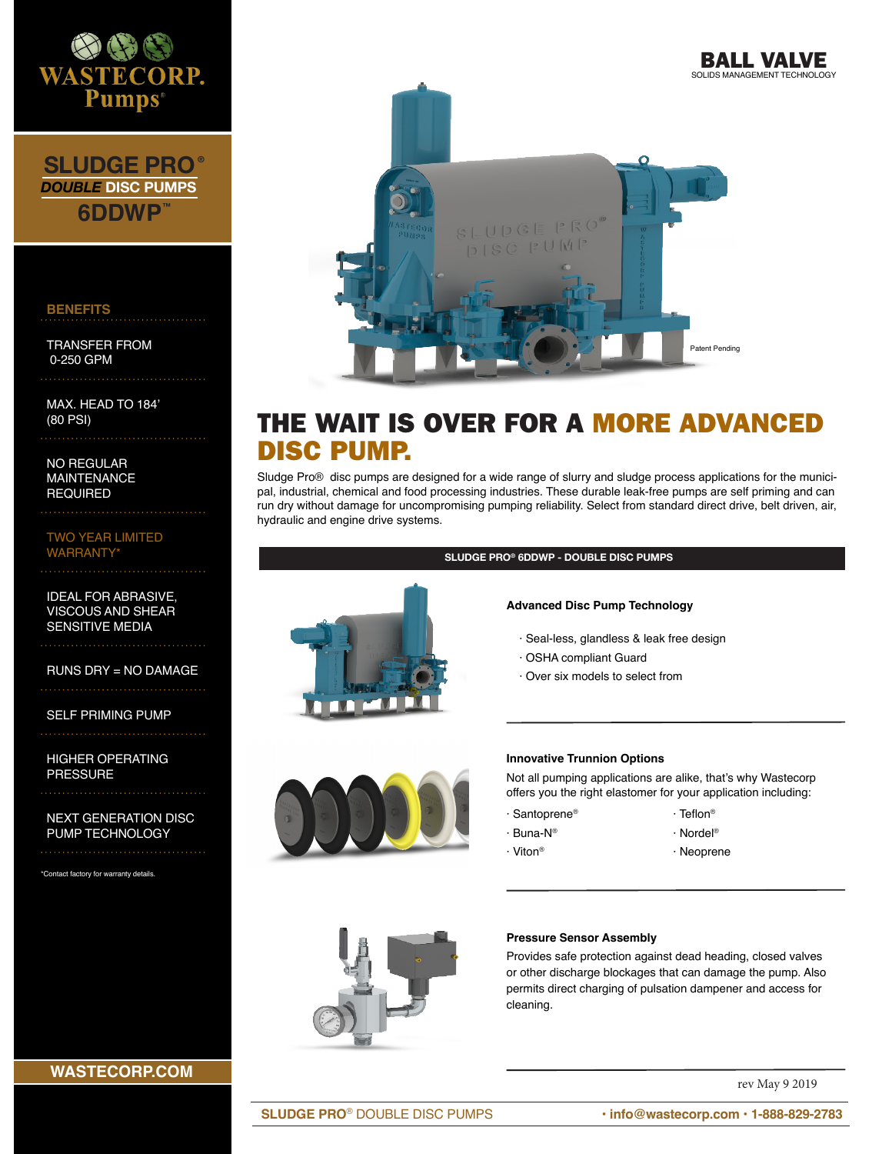

**SLUDGE PRO 6DDWP ™ ®** *DOUBLE* **DISC PUMPS**

#### **BENEFITS**

TRANSFER FROM 0-250 GPM

MAX. HEAD TO 184' (80 PSI)

NO REGULAR MAINTENANCE REQUIRED

TWO YEAR LIMITED **WARRANTY**\*

IDEAL FOR ABRASIVE, VISCOUS AND SHEAR SENSITIVE MEDIA

RUNS DRY = NO DAMAGE

SELF PRIMING PUMP

HIGHER OPERATING PRESSURE

NEXT GENERATION DISC PUMP TECHNOLOGY

\*Contact factory for warranty details.





# THE WAIT IS OVER FOR A MORE ADVANCED DISC PUMP.

Sludge Pro® disc pumps are designed for a wide range of slurry and sludge process applications for the municipal, industrial, chemical and food processing industries. These durable leak-free pumps are self priming and can run dry without damage for uncompromising pumping reliability. Select from standard direct drive, belt driven, air, hydraulic and engine drive systems.



**SLUDGE PRO® 6DDWP - DOUBLE DISC PUMPS** 

#### **Advanced Disc Pump Technology**

- · Seal-less, glandless & leak free design
- · OSHA compliant Guard
- · Over six models to select from



#### **Innovative Trunnion Options**

Not all pumping applications are alike, that's why Wastecorp offers you the right elastomer for your application including:

- · Santoprene®
- · Nordel®

· Viton®

· Buna-N®

· Neoprene

· Teflon®



#### **Pressure Sensor Assembly**

Provides safe protection against dead heading, closed valves or other discharge blockages that can damage the pump. Also permits direct charging of pulsation dampener and access for cleaning.

rev May 9 2019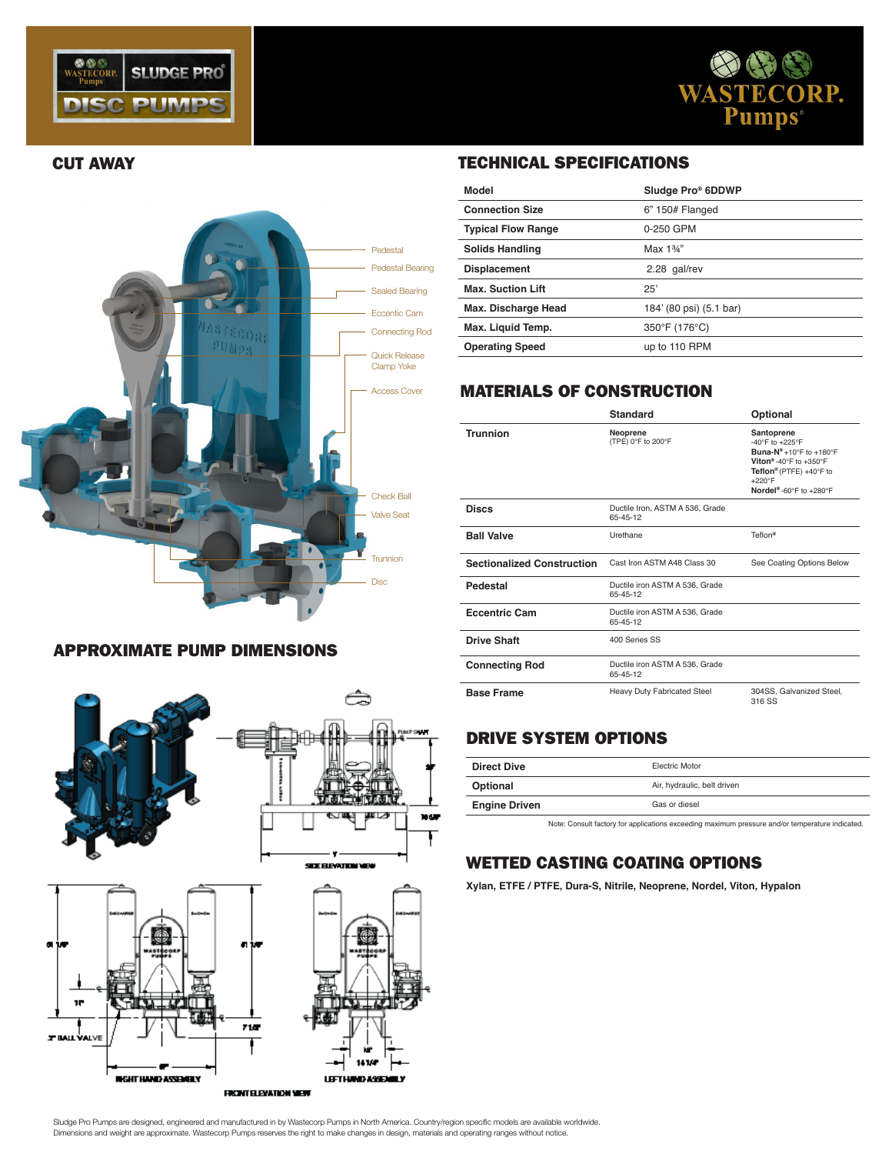





### APPROXIMATE PUMP DIMENSIONS





# CUT AWAY TECHNICAL SPECIFICATIONS

| Model                     | Sludge Pro® 6DDWP       |
|---------------------------|-------------------------|
| <b>Connection Size</b>    | $6" 150#$ Flanged       |
| <b>Typical Flow Range</b> | 0-250 GPM               |
| <b>Solids Handling</b>    | Max 1%"                 |
| <b>Displacement</b>       | 2.28 gal/rev            |
| <b>Max. Suction Lift</b>  | 25'                     |
| Max. Discharge Head       | 184' (80 psi) (5.1 bar) |
| Max. Liquid Temp.         | 350°F (176°C)           |
| <b>Operating Speed</b>    | up to 110 RPM           |

# MATERIALS OF CONSTRUCTION

|                                   | <b>Standard</b>                             | Optional                                                                                                                                                                               |
|-----------------------------------|---------------------------------------------|----------------------------------------------------------------------------------------------------------------------------------------------------------------------------------------|
| Trunnion                          | Neoprene<br>(TPE) 0°F to 200°F              | Santoprene<br>-40°F to +225°F<br>Buna- $N^*$ +10°F to +180°F<br>Viton <sup>®</sup> -40°F to +350°F<br>Teflon® (PTFE) +40°F to<br>$+220^\circ F$<br>Nordel <sup>®</sup> -60°F to +280°F |
| <b>Discs</b>                      | Ductile Iron, ASTM A 536, Grade<br>65-45-12 |                                                                                                                                                                                        |
| <b>Ball Valve</b>                 | Urethane                                    | Teflon <sup>®</sup>                                                                                                                                                                    |
| <b>Sectionalized Construction</b> | Cast Iron ASTM A48 Class 30                 | See Coating Options Below                                                                                                                                                              |
| Pedestal                          | Ductile iron ASTM A 536, Grade<br>65-45-12  |                                                                                                                                                                                        |
| <b>Eccentric Cam</b>              | Ductile iron ASTM A 536, Grade<br>65-45-12  |                                                                                                                                                                                        |
| <b>Drive Shaft</b>                | 400 Series SS                               |                                                                                                                                                                                        |
| <b>Connecting Rod</b>             | Ductile iron ASTM A 536, Grade<br>65-45-12  |                                                                                                                                                                                        |
| <b>Base Frame</b>                 | <b>Heavy Duty Fabricated Steel</b>          | 304SS, Galvanized Steel,<br>316 SS                                                                                                                                                     |

# DRIVE SYSTEM OPTIONS

| <b>Direct Dive</b>   | <b>Electric Motor</b>       |
|----------------------|-----------------------------|
| Optional             | Air, hydraulic, belt driven |
| <b>Engine Driven</b> | Gas or diesel               |

Note: Consult factory for applications exceeding maximum pressure and/or temperature indicated.

## WETTED CASTING COATING OPTIONS

**Xylan, ETFE / PTFE, Dura-S, Nitrile, Neoprene, Nordel, Viton, Hypalon**

Dimensions and weight are approximate. Wastecorp Pumps reserves the right to make changes in design, materials and operating ranges without notice. Sludge Pro Pumps are designed, engineered and manufactured in by Wastecorp Pumps in North America. Country/region specific models are available worldwide.